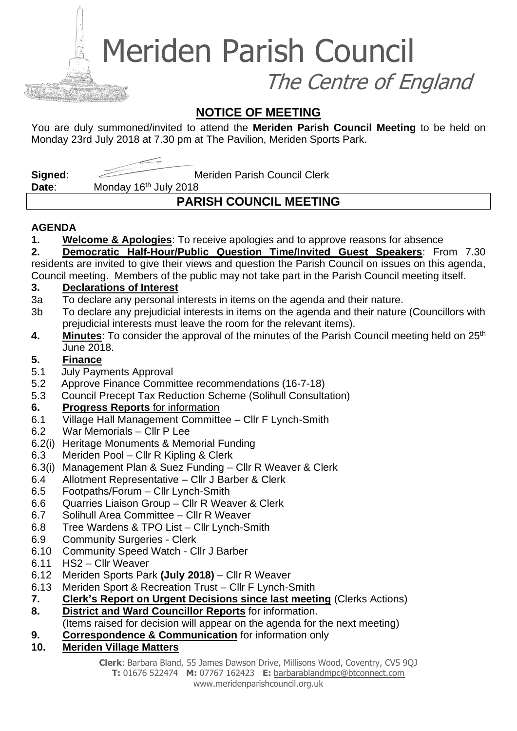Meriden Parish Council

The Centre of England

# **NOTICE OF MEETING**

You are duly summoned/invited to attend the **Meriden Parish Council Meeting** to be held on Monday 23rd July 2018 at 7.30 pm at The Pavilion, Meriden Sports Park.

**Signed:** Meriden Parish Council Clerk

Date: Monday 16<sup>th</sup> July 2018

# **PARISH COUNCIL MEETING**

# **AGENDA**

**1. Welcome & Apologies**: To receive apologies and to approve reasons for absence

**2. Democratic Half-Hour/Public Question Time/Invited Guest Speakers**: From 7.30 residents are invited to give their views and question the Parish Council on issues on this agenda,

Council meeting. Members of the public may not take part in the Parish Council meeting itself.

# **3. Declarations of Interest**

- 3a To declare any personal interests in items on the agenda and their nature.
- 3b To declare any prejudicial interests in items on the agenda and their nature (Councillors with prejudicial interests must leave the room for the relevant items).
- **4. Minutes**: To consider the approval of the minutes of the Parish Council meeting held on 25th June 2018.

# **5. Finance**

- 5.1 July Payments Approval
- 5.2 Approve Finance Committee recommendations (16-7-18)
- 5.3 Council Precept Tax Reduction Scheme (Solihull Consultation)

# **6. Progress Reports** for information

- 6.1 Village Hall Management Committee Cllr F Lynch-Smith
- 6.2 War Memorials Cllr P Lee
- 6.2(i) Heritage Monuments & Memorial Funding
- 6.3 Meriden Pool Cllr R Kipling & Clerk
- 6.3(i) Management Plan & Suez Funding Cllr R Weaver & Clerk
- 6.4 Allotment Representative Cllr J Barber & Clerk
- 6.5 Footpaths/Forum Cllr Lynch-Smith
- 6.6 Quarries Liaison Group Cllr R Weaver & Clerk
- 6.7 Solihull Area Committee Cllr R Weaver
- 6.8 Tree Wardens & TPO List Cllr Lynch-Smith
- 6.9 Community Surgeries Clerk
- 6.10 Community Speed Watch Cllr J Barber
- 6.11 HS2 Cllr Weaver
- 6.12 Meriden Sports Park **(July 2018)** Cllr R Weaver
- 6.13 Meriden Sport & Recreation Trust Cllr F Lynch-Smith
- **7. Clerk's Report on Urgent Decisions since last meeting** (Clerks Actions)
- **8. District and Ward Councillor Reports** for information.
- (Items raised for decision will appear on the agenda for the next meeting)
- **9. Correspondence & Communication** for information only
- **10. Meriden Village Matters**

**Clerk**: Barbara Bland, 55 James Dawson Drive, Millisons Wood, Coventry, CV5 9QJ

**T:** 01676 522474 **M:** 07767 162423 **E:** [barbarablandmpc@btconnect.com](mailto:barbarablandmpc@btconnect.com) www.meridenparishcouncil.org.uk